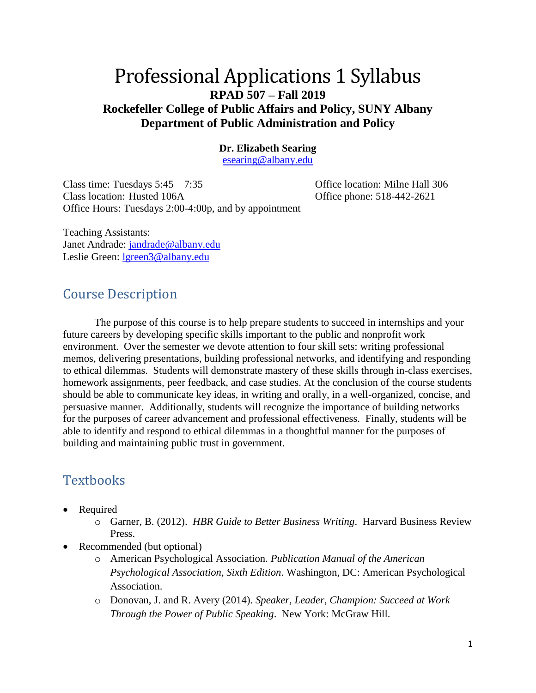## Professional Applications 1 Syllabus **RPAD 507 – Fall 2019 Rockefeller College of Public Affairs and Policy, SUNY Albany Department of Public Administration and Policy**

#### **Dr. Elizabeth Searing**

[esearing@albany.edu](mailto:esearing@albany.edu)

Class time: Tuesdays 5:45 – 7:35 Office location: Milne Hall 306 Class location: Husted 106A Office phone: 518-442-2621 Office Hours: Tuesdays 2:00-4:00p, and by appointment

Teaching Assistants: Janet Andrade: [jandrade@albany.edu](mailto:jandrade@albany.edu) Leslie Green: [lgreen3@albany.edu](mailto:lgreen3@albany.edu)

#### Course Description

The purpose of this course is to help prepare students to succeed in internships and your future careers by developing specific skills important to the public and nonprofit work environment. Over the semester we devote attention to four skill sets: writing professional memos, delivering presentations, building professional networks, and identifying and responding to ethical dilemmas. Students will demonstrate mastery of these skills through in-class exercises, homework assignments, peer feedback, and case studies. At the conclusion of the course students should be able to communicate key ideas, in writing and orally, in a well-organized, concise, and persuasive manner. Additionally, students will recognize the importance of building networks for the purposes of career advancement and professional effectiveness. Finally, students will be able to identify and respond to ethical dilemmas in a thoughtful manner for the purposes of building and maintaining public trust in government.

## **Textbooks**

- Required
	- o Garner, B. (2012). *HBR Guide to Better Business Writing*. Harvard Business Review Press.
- Recommended (but optional)
	- o American Psychological Association. *Publication Manual of the American Psychological Association, Sixth Edition*. Washington, DC: American Psychological Association.
	- o Donovan, J. and R. Avery (2014). *Speaker, Leader, Champion: Succeed at Work Through the Power of Public Speaking*. New York: McGraw Hill.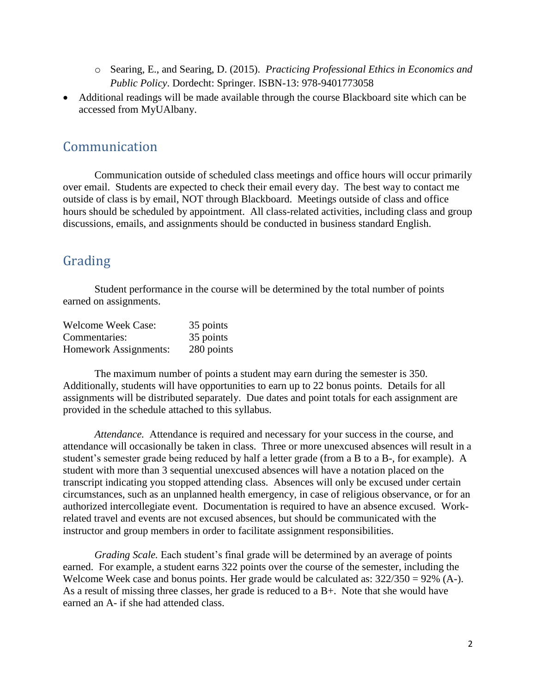- o Searing, E., and Searing, D. (2015). *Practicing Professional Ethics in Economics and Public Policy*. Dordecht: Springer. ISBN-13: 978-9401773058
- Additional readings will be made available through the course Blackboard site which can be accessed from MyUAlbany.

### Communication

Communication outside of scheduled class meetings and office hours will occur primarily over email. Students are expected to check their email every day. The best way to contact me outside of class is by email, NOT through Blackboard. Meetings outside of class and office hours should be scheduled by appointment. All class-related activities, including class and group discussions, emails, and assignments should be conducted in business standard English.

## Grading

Student performance in the course will be determined by the total number of points earned on assignments.

| <b>Welcome Week Case:</b> | 35 points  |
|---------------------------|------------|
| Commentaries:             | 35 points  |
| Homework Assignments:     | 280 points |

The maximum number of points a student may earn during the semester is 350. Additionally, students will have opportunities to earn up to 22 bonus points. Details for all assignments will be distributed separately. Due dates and point totals for each assignment are provided in the schedule attached to this syllabus.

*Attendance.* Attendance is required and necessary for your success in the course, and attendance will occasionally be taken in class. Three or more unexcused absences will result in a student's semester grade being reduced by half a letter grade (from a B to a B-, for example). A student with more than 3 sequential unexcused absences will have a notation placed on the transcript indicating you stopped attending class. Absences will only be excused under certain circumstances, such as an unplanned health emergency, in case of religious observance, or for an authorized intercollegiate event. Documentation is required to have an absence excused. Workrelated travel and events are not excused absences, but should be communicated with the instructor and group members in order to facilitate assignment responsibilities.

*Grading Scale.* Each student's final grade will be determined by an average of points earned. For example, a student earns 322 points over the course of the semester, including the Welcome Week case and bonus points. Her grade would be calculated as:  $322/350 = 92\%$  (A-). As a result of missing three classes, her grade is reduced to a B+. Note that she would have earned an A- if she had attended class.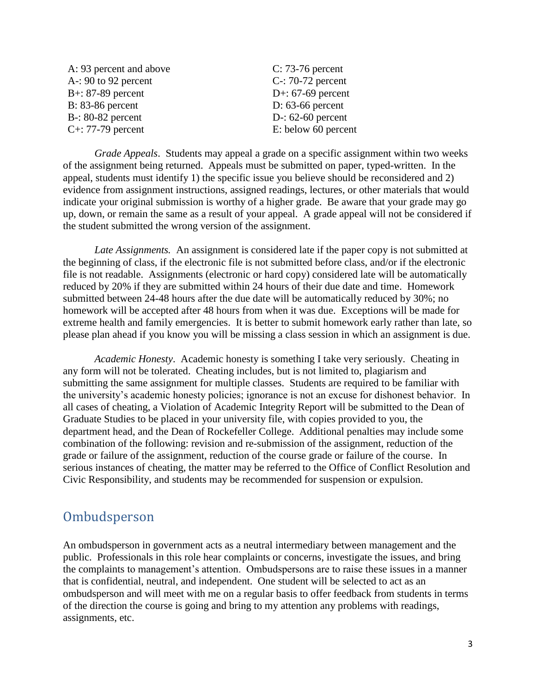| A: 93 percent and above | $C: 73-76$ percent        |
|-------------------------|---------------------------|
| $A - 90$ to 92 percent  | $C-$ : 70-72 percent      |
| $B+$ : 87-89 percent    | D+: $67-69$ percent       |
| $B: 83-86$ percent      | D: $63-66$ percent        |
| $B-$ : 80-82 percent    | D $\cdot$ : 62-60 percent |
| $C_{+}$ : 77-79 percent | E: below 60 percent       |

*Grade Appeals*. Students may appeal a grade on a specific assignment within two weeks of the assignment being returned. Appeals must be submitted on paper, typed-written. In the appeal, students must identify 1) the specific issue you believe should be reconsidered and 2) evidence from assignment instructions, assigned readings, lectures, or other materials that would indicate your original submission is worthy of a higher grade. Be aware that your grade may go up, down, or remain the same as a result of your appeal. A grade appeal will not be considered if the student submitted the wrong version of the assignment.

*Late Assignments.* An assignment is considered late if the paper copy is not submitted at the beginning of class, if the electronic file is not submitted before class, and/or if the electronic file is not readable. Assignments (electronic or hard copy) considered late will be automatically reduced by 20% if they are submitted within 24 hours of their due date and time. Homework submitted between 24-48 hours after the due date will be automatically reduced by 30%; no homework will be accepted after 48 hours from when it was due. Exceptions will be made for extreme health and family emergencies. It is better to submit homework early rather than late, so please plan ahead if you know you will be missing a class session in which an assignment is due.

*Academic Honesty*. Academic honesty is something I take very seriously. Cheating in any form will not be tolerated. Cheating includes, but is not limited to, plagiarism and submitting the same assignment for multiple classes. Students are required to be familiar with the university's academic honesty policies; ignorance is not an excuse for dishonest behavior. In all cases of cheating, a Violation of Academic Integrity Report will be submitted to the Dean of Graduate Studies to be placed in your university file, with copies provided to you, the department head, and the Dean of Rockefeller College. Additional penalties may include some combination of the following: revision and re-submission of the assignment, reduction of the grade or failure of the assignment, reduction of the course grade or failure of the course. In serious instances of cheating, the matter may be referred to the Office of Conflict Resolution and Civic Responsibility, and students may be recommended for suspension or expulsion.

#### **Ombudsperson**

An ombudsperson in government acts as a neutral intermediary between management and the public. Professionals in this role hear complaints or concerns, investigate the issues, and bring the complaints to management's attention. Ombudspersons are to raise these issues in a manner that is confidential, neutral, and independent. One student will be selected to act as an ombudsperson and will meet with me on a regular basis to offer feedback from students in terms of the direction the course is going and bring to my attention any problems with readings, assignments, etc.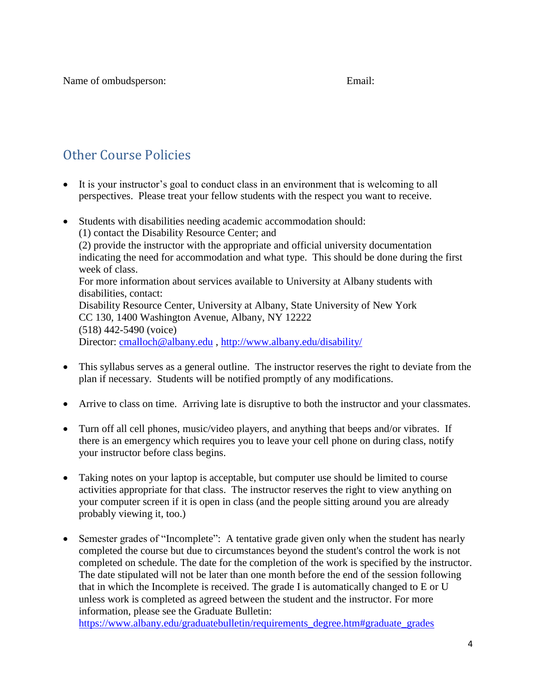Name of ombudsperson: Email: Email:

## Other Course Policies

- It is your instructor's goal to conduct class in an environment that is welcoming to all perspectives. Please treat your fellow students with the respect you want to receive.
- Students with disabilities needing academic accommodation should:
	- (1) contact the Disability Resource Center; and (2) provide the instructor with the appropriate and official university documentation indicating the need for accommodation and what type. This should be done during the first week of class. For more information about services available to University at Albany students with disabilities, contact: Disability Resource Center, University at Albany, State University of New York CC 130, 1400 Washington Avenue, Albany, NY 12222 (518) 442-5490 (voice) Director: [cmalloch@albany.edu](mailto:cmalloch@albany.edu), <http://www.albany.edu/disability/>
- This syllabus serves as a general outline. The instructor reserves the right to deviate from the plan if necessary. Students will be notified promptly of any modifications.
- Arrive to class on time. Arriving late is disruptive to both the instructor and your classmates.
- Turn off all cell phones, music/video players, and anything that beeps and/or vibrates. If there is an emergency which requires you to leave your cell phone on during class, notify your instructor before class begins.
- Taking notes on your laptop is acceptable, but computer use should be limited to course activities appropriate for that class. The instructor reserves the right to view anything on your computer screen if it is open in class (and the people sitting around you are already probably viewing it, too.)
- Semester grades of "Incomplete": A tentative grade given only when the student has nearly completed the course but due to circumstances beyond the student's control the work is not completed on schedule. The date for the completion of the work is specified by the instructor. The date stipulated will not be later than one month before the end of the session following that in which the Incomplete is received. The grade I is automatically changed to E or U unless work is completed as agreed between the student and the instructor. For more information, please see the Graduate Bulletin:

[https://www.albany.edu/graduatebulletin/requirements\\_degree.htm#graduate\\_grades](https://www.albany.edu/graduatebulletin/requirements_degree.htm#graduate_grades)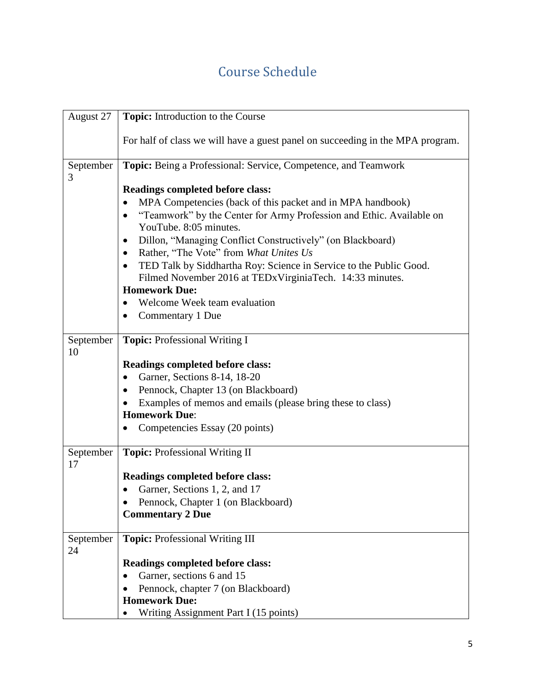# Course Schedule

| August 27       | <b>Topic:</b> Introduction to the Course                                                       |
|-----------------|------------------------------------------------------------------------------------------------|
|                 | For half of class we will have a guest panel on succeeding in the MPA program.                 |
| September<br>3  | Topic: Being a Professional: Service, Competence, and Teamwork                                 |
|                 | <b>Readings completed before class:</b>                                                        |
|                 | MPA Competencies (back of this packet and in MPA handbook)                                     |
|                 | "Teamwork" by the Center for Army Profession and Ethic. Available on<br>YouTube. 8:05 minutes. |
|                 | Dillon, "Managing Conflict Constructively" (on Blackboard)<br>$\bullet$                        |
|                 | Rather, "The Vote" from What Unites Us                                                         |
|                 | TED Talk by Siddhartha Roy: Science in Service to the Public Good.<br>$\bullet$                |
|                 | Filmed November 2016 at TEDx Virginia Tech. 14:33 minutes.                                     |
|                 | <b>Homework Due:</b>                                                                           |
|                 | Welcome Week team evaluation                                                                   |
|                 | Commentary 1 Due                                                                               |
| September<br>10 | Topic: Professional Writing I                                                                  |
|                 | <b>Readings completed before class:</b>                                                        |
|                 | Garner, Sections 8-14, 18-20                                                                   |
|                 | Pennock, Chapter 13 (on Blackboard)                                                            |
|                 | Examples of memos and emails (please bring these to class)                                     |
|                 | <b>Homework Due:</b>                                                                           |
|                 | Competencies Essay (20 points)                                                                 |
| September<br>17 | Topic: Professional Writing II                                                                 |
|                 | <b>Readings completed before class:</b>                                                        |
|                 | Garner, Sections 1, 2, and 17                                                                  |
|                 | Pennock, Chapter 1 (on Blackboard)                                                             |
|                 | <b>Commentary 2 Due</b>                                                                        |
| September<br>24 | <b>Topic: Professional Writing III</b>                                                         |
|                 | <b>Readings completed before class:</b>                                                        |
|                 | Garner, sections 6 and 15                                                                      |
|                 | Pennock, chapter 7 (on Blackboard)                                                             |
|                 | <b>Homework Due:</b>                                                                           |
|                 | Writing Assignment Part I (15 points)                                                          |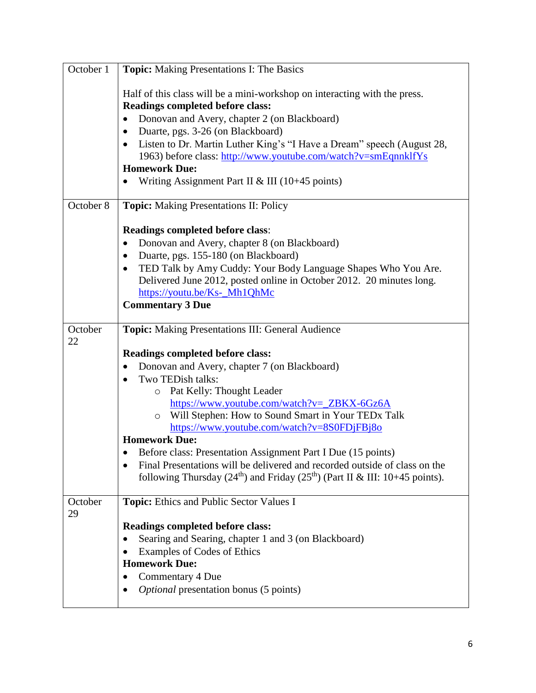| October 1     | Topic: Making Presentations I: The Basics                                                            |
|---------------|------------------------------------------------------------------------------------------------------|
|               | Half of this class will be a mini-workshop on interacting with the press.                            |
|               | <b>Readings completed before class:</b>                                                              |
|               | Donovan and Avery, chapter 2 (on Blackboard)                                                         |
|               | Duarte, pgs. 3-26 (on Blackboard)<br>$\bullet$                                                       |
|               | Listen to Dr. Martin Luther King's "I Have a Dream" speech (August 28,<br>$\bullet$                  |
|               | 1963) before class: http://www.youtube.com/watch?v=smEqnnklfYs                                       |
|               | <b>Homework Due:</b>                                                                                 |
|               | Writing Assignment Part II & III ( $10+45$ points)                                                   |
| October 8     | Topic: Making Presentations II: Policy                                                               |
|               | Readings completed before class:                                                                     |
|               | Donovan and Avery, chapter 8 (on Blackboard)                                                         |
|               | Duarte, pgs. 155-180 (on Blackboard)<br>٠                                                            |
|               | TED Talk by Amy Cuddy: Your Body Language Shapes Who You Are.<br>٠                                   |
|               | Delivered June 2012, posted online in October 2012. 20 minutes long.                                 |
|               | https://youtu.be/Ks-_Mh1QhMc                                                                         |
|               | <b>Commentary 3 Due</b>                                                                              |
| October<br>22 | Topic: Making Presentations III: General Audience                                                    |
|               | <b>Readings completed before class:</b>                                                              |
|               | Donovan and Avery, chapter 7 (on Blackboard)                                                         |
|               | Two TEDish talks:<br>$\bullet$                                                                       |
|               | Pat Kelly: Thought Leader<br>$\circ$                                                                 |
|               | https://www.youtube.com/watch?v=_ZBKX-6Gz6A                                                          |
|               | Will Stephen: How to Sound Smart in Your TEDx Talk<br>$\circ$                                        |
|               | https://www.youtube.com/watch?v=8S0FDjFBj8o<br><b>Homework Due:</b>                                  |
|               | Before class: Presentation Assignment Part I Due (15 points)                                         |
|               | Final Presentations will be delivered and recorded outside of class on the                           |
|               | following Thursday (24 <sup>th</sup> ) and Friday (25 <sup>th</sup> ) (Part II & III: 10+45 points). |
|               |                                                                                                      |
| October<br>29 | Topic: Ethics and Public Sector Values I                                                             |
|               | <b>Readings completed before class:</b>                                                              |
|               | Searing and Searing, chapter 1 and 3 (on Blackboard)                                                 |
|               | Examples of Codes of Ethics                                                                          |
|               | <b>Homework Due:</b>                                                                                 |
|               | Commentary 4 Due                                                                                     |
|               | <i>Optional</i> presentation bonus (5 points)                                                        |
|               |                                                                                                      |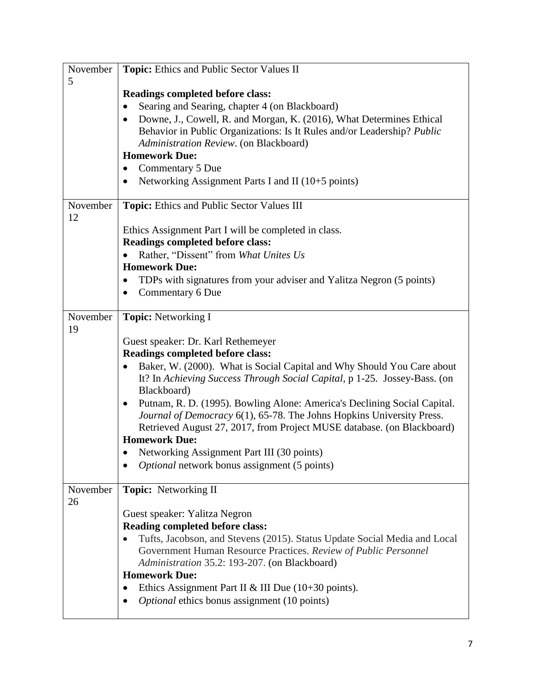| November | Topic: Ethics and Public Sector Values II                                                |
|----------|------------------------------------------------------------------------------------------|
| 5        | <b>Readings completed before class:</b>                                                  |
|          | Searing and Searing, chapter 4 (on Blackboard)                                           |
|          | Downe, J., Cowell, R. and Morgan, K. (2016), What Determines Ethical<br>$\bullet$        |
|          | Behavior in Public Organizations: Is It Rules and/or Leadership? Public                  |
|          | Administration Review. (on Blackboard)                                                   |
|          | <b>Homework Due:</b>                                                                     |
|          | Commentary 5 Due<br>$\bullet$                                                            |
|          | Networking Assignment Parts I and II (10+5 points)<br>$\bullet$                          |
| November | Topic: Ethics and Public Sector Values III                                               |
| 12       |                                                                                          |
|          | Ethics Assignment Part I will be completed in class.                                     |
|          | <b>Readings completed before class:</b>                                                  |
|          | Rather, "Dissent" from What Unites Us                                                    |
|          | <b>Homework Due:</b>                                                                     |
|          | TDPs with signatures from your adviser and Yalitza Negron (5 points)<br>$\bullet$        |
|          | Commentary 6 Due                                                                         |
| November | <b>Topic:</b> Networking I                                                               |
| 19       |                                                                                          |
|          | Guest speaker: Dr. Karl Rethemeyer                                                       |
|          | Readings completed before class:                                                         |
|          | Baker, W. (2000). What is Social Capital and Why Should You Care about<br>$\bullet$      |
|          | It? In Achieving Success Through Social Capital, p 1-25. Jossey-Bass. (on<br>Blackboard) |
|          | Putnam, R. D. (1995). Bowling Alone: America's Declining Social Capital.                 |
|          | Journal of Democracy 6(1), 65-78. The Johns Hopkins University Press.                    |
|          | Retrieved August 27, 2017, from Project MUSE database. (on Blackboard)                   |
|          | <b>Homework Due:</b>                                                                     |
|          | Networking Assignment Part III (30 points)                                               |
|          | <i>Optional</i> network bonus assignment (5 points)                                      |
| November | <b>Topic:</b> Networking II                                                              |
| 26       |                                                                                          |
|          | Guest speaker: Yalitza Negron                                                            |
|          | <b>Reading completed before class:</b>                                                   |
|          | Tufts, Jacobson, and Stevens (2015). Status Update Social Media and Local                |
|          | Government Human Resource Practices. Review of Public Personnel                          |
|          | Administration 35.2: 193-207. (on Blackboard)                                            |
|          | <b>Homework Due:</b>                                                                     |
|          | Ethics Assignment Part II & III Due $(10+30 \text{ points})$ .<br>$\bullet$              |
|          | Optional ethics bonus assignment (10 points)                                             |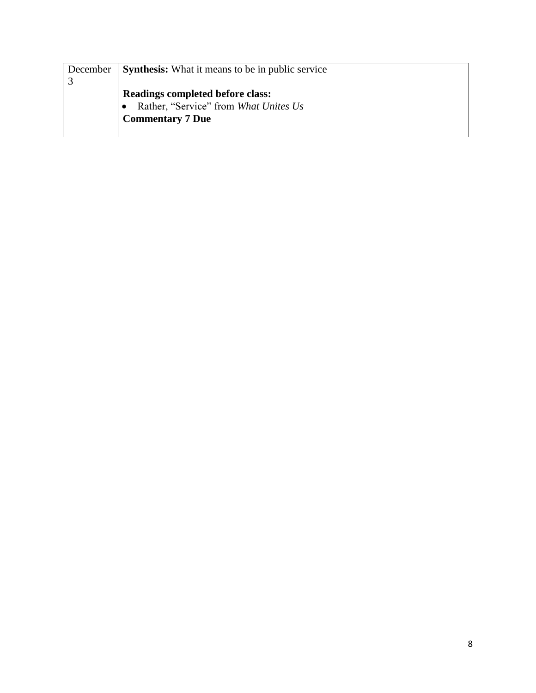| December | <b>Synthesis:</b> What it means to be in public service |
|----------|---------------------------------------------------------|
|          |                                                         |
|          | <b>Readings completed before class:</b>                 |
|          | Rather, "Service" from What Unites Us                   |
|          | <b>Commentary 7 Due</b>                                 |
|          |                                                         |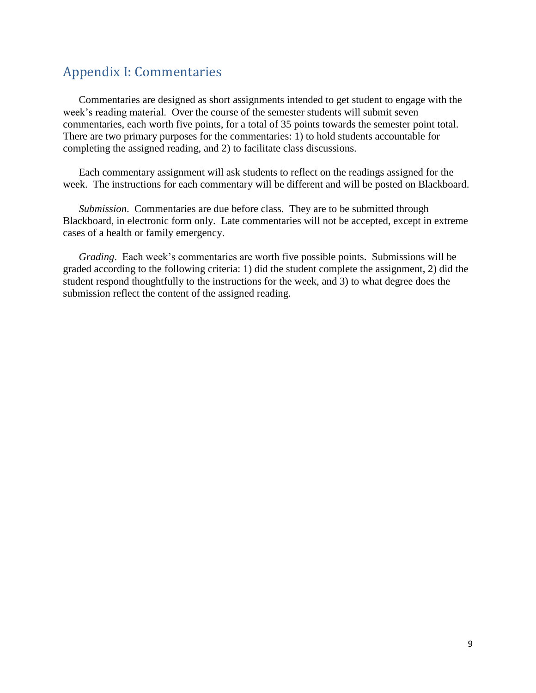## Appendix I: Commentaries

Commentaries are designed as short assignments intended to get student to engage with the week's reading material. Over the course of the semester students will submit seven commentaries, each worth five points, for a total of 35 points towards the semester point total. There are two primary purposes for the commentaries: 1) to hold students accountable for completing the assigned reading, and 2) to facilitate class discussions.

Each commentary assignment will ask students to reflect on the readings assigned for the week. The instructions for each commentary will be different and will be posted on Blackboard.

*Submission*. Commentaries are due before class. They are to be submitted through Blackboard, in electronic form only. Late commentaries will not be accepted, except in extreme cases of a health or family emergency.

*Grading*. Each week's commentaries are worth five possible points. Submissions will be graded according to the following criteria: 1) did the student complete the assignment, 2) did the student respond thoughtfully to the instructions for the week, and 3) to what degree does the submission reflect the content of the assigned reading.